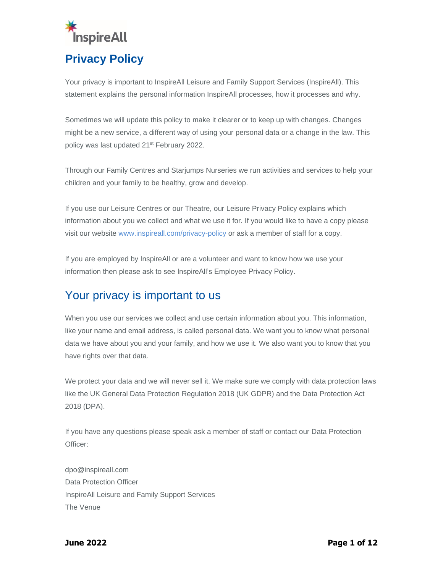

Your privacy is important to InspireAll Leisure and Family Support Services (InspireAll). This statement explains the personal information InspireAll processes, how it processes and why.

Sometimes we will update this policy to make it clearer or to keep up with changes. Changes might be a new service, a different way of using your personal data or a change in the law. This policy was last updated 21<sup>st</sup> February 2022.

Through our Family Centres and Starjumps Nurseries we run activities and services to help your children and your family to be healthy, grow and develop.

If you use our Leisure Centres or our Theatre, our Leisure Privacy Policy explains which information about you we collect and what we use it for. If you would like to have a copy please visit our website [www.inspireall.com/privacy-policy](http://www.inspireall.com/privacy-policy) or ask a member of staff for a copy.

If you are employed by InspireAll or are a volunteer and want to know how we use your information then please ask to see InspireAll's Employee Privacy Policy.

# Your privacy is important to us

When you use our services we collect and use certain information about you. This information, like your name and email address, is called personal data. We want you to know what personal data we have about you and your family, and how we use it. We also want you to know that you have rights over that data.

We protect your data and we will never sell it. We make sure we comply with data protection laws like the UK General Data Protection Regulation 2018 (UK GDPR) and the Data Protection Act 2018 (DPA).

If you have any questions please speak ask a member of staff or contact our Data Protection Officer:

[dpo@inspireall.com](mailto:dpo@inspireall.com) Data Protection Officer InspireAll Leisure and Family Support Services The Venue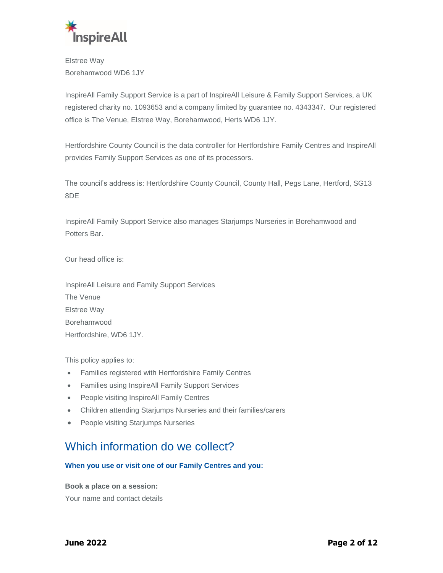

Elstree Way Borehamwood WD6 1JY

InspireAll Family Support Service is a part of InspireAll Leisure & Family Support Services, a UK registered charity no. 1093653 and a company limited by guarantee no. 4343347. Our registered office is The Venue, Elstree Way, Borehamwood, Herts WD6 1JY.

Hertfordshire County Council is the data controller for Hertfordshire Family Centres and InspireAll provides Family Support Services as one of its processors.

The council's address is: Hertfordshire County Council, County Hall, Pegs Lane, Hertford, SG13 8DE

InspireAll Family Support Service also manages Starjumps Nurseries in Borehamwood and Potters Bar.

Our head office is:

InspireAll Leisure and Family Support Services The Venue Elstree Way Borehamwood Hertfordshire, WD6 1JY.

This policy applies to:

- Families registered with Hertfordshire Family Centres
- Families using InspireAll Family Support Services
- People visiting InspireAll Family Centres
- Children attending Starjumps Nurseries and their families/carers
- People visiting Starjumps Nurseries

### Which information do we collect?

#### **When you use or visit one of our Family Centres and you:**

**Book a place on a session:**

Your name and contact details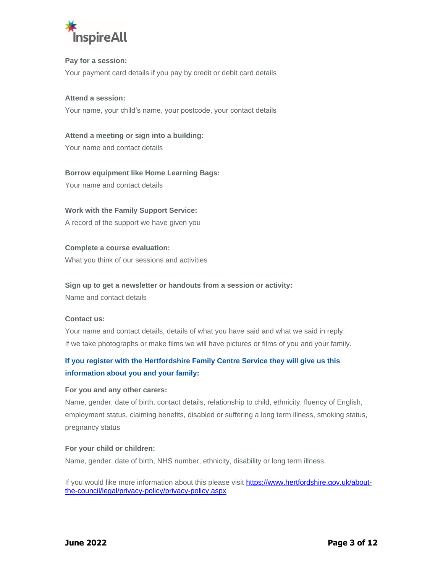

#### **Pay for a session:**

Your payment card details if you pay by credit or debit card details

#### **Attend a session:**

Your name, your child's name, your postcode, your contact details

### **Attend a meeting or sign into a building:**

Your name and contact details

#### **Borrow equipment like Home Learning Bags:**

Your name and contact details

#### **Work with the Family Support Service:**

A record of the support we have given you

#### **Complete a course evaluation:**

What you think of our sessions and activities

#### **Sign up to get a newsletter or handouts from a session or activity:**

Name and contact details

#### **Contact us:**

Your name and contact details, details of what you have said and what we said in reply. If we take photographs or make films we will have pictures or films of you and your family.

### **If you register with the Hertfordshire Family Centre Service they will give us this information about you and your family:**

#### **For you and any other carers:**

Name, gender, date of birth, contact details, relationship to child, ethnicity, fluency of English, employment status, claiming benefits, disabled or suffering a long term illness, smoking status, pregnancy status

#### **For your child or children:**

Name, gender, date of birth, NHS number, ethnicity, disability or long term illness.

If you would like more information about this please visit [https://www.hertfordshire.gov.uk/about](https://www.hertfordshire.gov.uk/about-the-council/legal/privacy-policy/privacy-policy.aspx)[the-council/legal/privacy-policy/privacy-policy.aspx](https://www.hertfordshire.gov.uk/about-the-council/legal/privacy-policy/privacy-policy.aspx)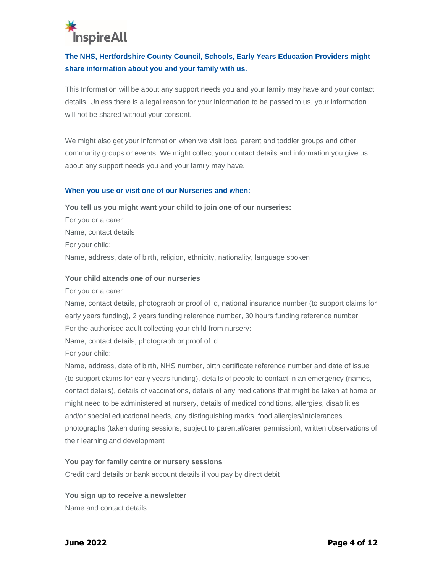# **InspireAll**

### **The NHS, Hertfordshire County Council, Schools, Early Years Education Providers might share information about you and your family with us.**

This Information will be about any support needs you and your family may have and your contact details. Unless there is a legal reason for your information to be passed to us, your information will not be shared without your consent.

We might also get your information when we visit local parent and toddler groups and other community groups or events. We might collect your contact details and information you give us about any support needs you and your family may have.

#### **When you use or visit one of our Nurseries and when:**

#### **You tell us you might want your child to join one of our nurseries:**

For you or a carer: Name, contact details For your child: Name, address, date of birth, religion, ethnicity, nationality, language spoken

#### **Your child attends one of our nurseries**

For you or a carer:

Name, contact details, photograph or proof of id, national insurance number (to support claims for early years funding), 2 years funding reference number, 30 hours funding reference number For the authorised adult collecting your child from nursery:

Name, contact details, photograph or proof of id

For your child:

Name, address, date of birth, NHS number, birth certificate reference number and date of issue (to support claims for early years funding), details of people to contact in an emergency (names, contact details), details of vaccinations, details of any medications that might be taken at home or might need to be administered at nursery, details of medical conditions, allergies, disabilities and/or special educational needs, any distinguishing marks, food allergies/intolerances, photographs (taken during sessions, subject to parental/carer permission), written observations of their learning and development

#### **You pay for family centre or nursery sessions**

Credit card details or bank account details if you pay by direct debit

**You sign up to receive a newsletter** Name and contact details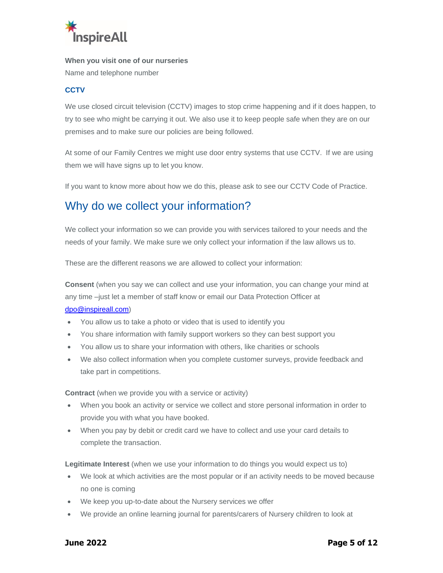

**When you visit one of our nurseries**

Name and telephone number

#### **CCTV**

We use closed circuit television (CCTV) images to stop crime happening and if it does happen, to try to see who might be carrying it out. We also use it to keep people safe when they are on our premises and to make sure our policies are being followed.

At some of our Family Centres we might use door entry systems that use CCTV. If we are using them we will have signs up to let you know.

If you want to know more about how we do this, please ask to see our CCTV Code of Practice.

# Why do we collect your information?

We collect your information so we can provide you with services tailored to your needs and the needs of your family. We make sure we only collect your information if the law allows us to.

These are the different reasons we are allowed to collect your information:

**Consent** (when you say we can collect and use your information, you can change your mind at any time –just let a member of staff know or email our Data Protection Officer at [dpo@inspireall.com\)](mailto:dpo@inspireall.com)

- You allow us to take a photo or video that is used to identify you
- You share information with family support workers so they can best support you
- You allow us to share your information with others, like charities or schools
- We also collect information when you complete customer surveys, provide feedback and take part in competitions.

**Contract** (when we provide you with a service or activity)

- When you book an activity or service we collect and store personal information in order to provide you with what you have booked.
- When you pay by debit or credit card we have to collect and use your card details to complete the transaction.

**Legitimate Interest** (when we use your information to do things you would expect us to)

- We look at which activities are the most popular or if an activity needs to be moved because no one is coming
- We keep you up-to-date about the Nursery services we offer
- We provide an online learning journal for parents/carers of Nursery children to look at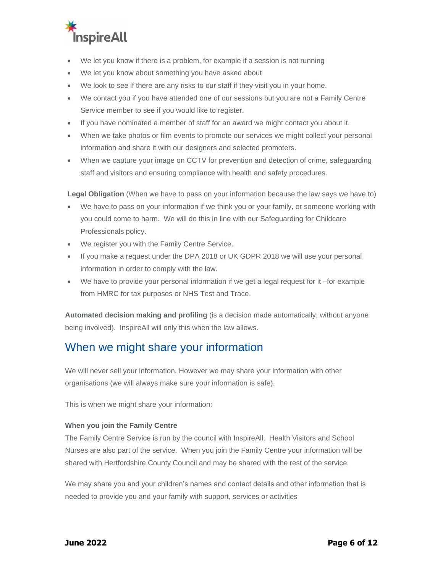

- We let you know if there is a problem, for example if a session is not running
- We let you know about something you have asked about
- We look to see if there are any risks to our staff if they visit you in your home.
- We contact you if you have attended one of our sessions but you are not a Family Centre Service member to see if you would like to register.
- If you have nominated a member of staff for an award we might contact you about it.
- When we take photos or film events to promote our services we might collect your personal information and share it with our designers and selected promoters.
- When we capture your image on CCTV for prevention and detection of crime, safeguarding staff and visitors and ensuring compliance with health and safety procedures.

**Legal Obligation** (When we have to pass on your information because the law says we have to)

- We have to pass on your information if we think you or your family, or someone working with you could come to harm. We will do this in line with our Safeguarding for Childcare Professionals policy.
- We register you with the Family Centre Service.
- If you make a request under the DPA 2018 or UK GDPR 2018 we will use your personal information in order to comply with the law.
- We have to provide your personal information if we get a legal request for it –for example from HMRC for tax purposes or NHS Test and Trace.

**Automated decision making and profiling** (is a decision made automatically, without anyone being involved). InspireAll will only this when the law allows.

### When we might share your information

We will never sell your information. However we may share your information with other organisations (we will always make sure your information is safe).

This is when we might share your information:

#### **When you join the Family Centre**

The Family Centre Service is run by the council with InspireAll. Health Visitors and School Nurses are also part of the service. When you join the Family Centre your information will be shared with Hertfordshire County Council and may be shared with the rest of the service.

We may share you and your children's names and contact details and other information that is needed to provide you and your family with support, services or activities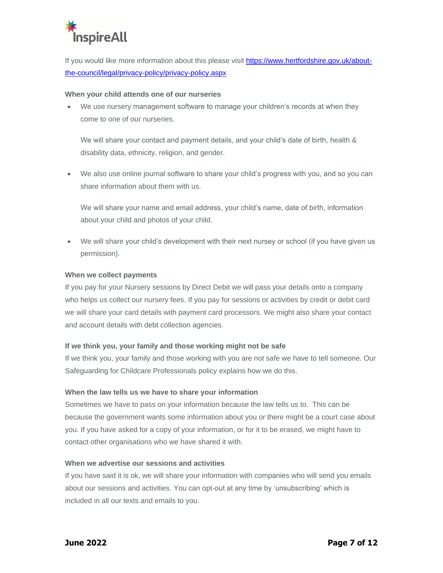

If you would like more information about this please visit [https://www.hertfordshire.gov.uk/about](https://www.hertfordshire.gov.uk/about-the-council/legal/privacy-policy/privacy-policy.aspx)[the-council/legal/privacy-policy/privacy-policy.aspx](https://www.hertfordshire.gov.uk/about-the-council/legal/privacy-policy/privacy-policy.aspx)

#### **When your child attends one of our nurseries**

• We use nursery management software to manage your children's records at when they come to one of our nurseries.

We will share your contact and payment details, and your child's date of birth, health & disability data, ethnicity, religion, and gender.

• We also use online journal software to share your child's progress with you, and so you can share information about them with us.

We will share your name and email address, your child's name, date of birth, information about your child and photos of your child.

• We will share your child's development with their next nursey or school (if you have given us permission).

#### **When we collect payments**

If you pay for your Nursery sessions by Direct Debit we will pass your details onto a company who helps us collect our nursery fees. If you pay for sessions or activities by credit or debit card we will share your card details with payment card processors. We might also share your contact and account details with debt collection agencies.

#### **If we think you, your family and those working might not be safe**

If we think you, your family and those working with you are not safe we have to tell someone. Our Safeguarding for Childcare Professionals policy explains how we do this.

#### **When the law tells us we have to share your information**

Sometimes we have to pass on your information because the law tells us to. This can be because the government wants some information about you or there might be a court case about you. If you have asked for a copy of your information, or for it to be erased, we might have to contact other organisations who we have shared it with.

#### **When we advertise our sessions and activities**

If you have said it is ok, we will share your information with companies who will send you emails about our sessions and activities. You can opt-out at any time by 'unsubscribing' which is included in all our texts and emails to you.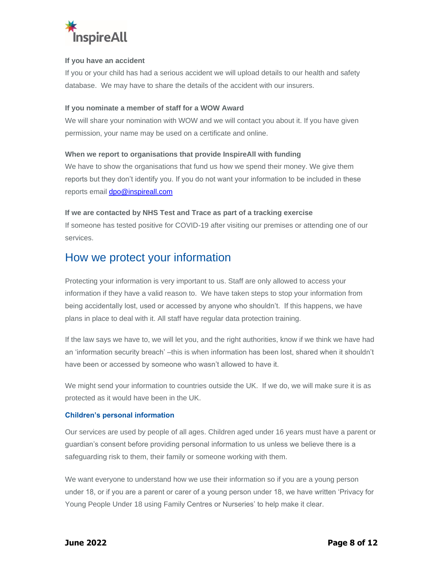

#### **If you have an accident**

If you or your child has had a serious accident we will upload details to our health and safety database. We may have to share the details of the accident with our insurers.

#### **If you nominate a member of staff for a WOW Award**

We will share your nomination with WOW and we will contact you about it. If you have given permission, your name may be used on a certificate and online.

#### **When we report to organisations that provide InspireAll with funding**

We have to show the organisations that fund us how we spend their money. We give them reports but they don't identify you. If you do not want your information to be included in these reports email [dpo@inspireall.com](mailto:dpo@inspireall.com)

#### **If we are contacted by NHS Test and Trace as part of a tracking exercise**

If someone has tested positive for COVID-19 after visiting our premises or attending one of our services.

### How we protect your information

Protecting your information is very important to us. Staff are only allowed to access your information if they have a valid reason to. We have taken steps to stop your information from being accidentally lost, used or accessed by anyone who shouldn't. If this happens, we have plans in place to deal with it. All staff have regular data protection training.

If the law says we have to, we will let you, and the right authorities, know if we think we have had an 'information security breach' –this is when information has been lost, shared when it shouldn't have been or accessed by someone who wasn't allowed to have it.

We might send your information to countries outside the UK. If we do, we will make sure it is as protected as it would have been in the UK.

#### **Children's personal information**

Our services are used by people of all ages. Children aged under 16 years must have a parent or guardian's consent before providing personal information to us unless we believe there is a safeguarding risk to them, their family or someone working with them.

We want everyone to understand how we use their information so if you are a young person under 18, or if you are a parent or carer of a young person under 18, we have written 'Privacy for Young People Under 18 using Family Centres or Nurseries' to help make it clear.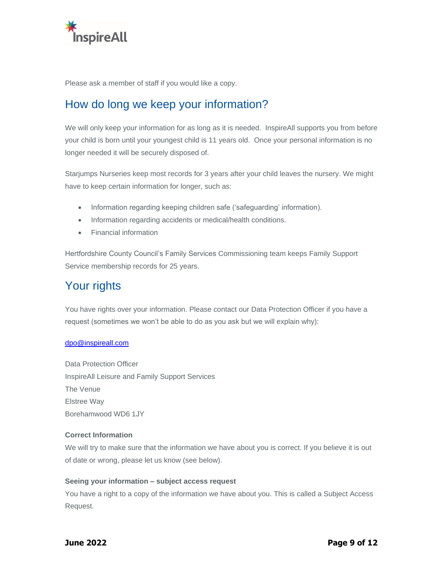

Please ask a member of staff if you would like a copy.

# How do long we keep your information?

We will only keep your information for as long as it is needed. InspireAll supports you from before your child is born until your youngest child is 11 years old. Once your personal information is no longer needed it will be securely disposed of.

Starjumps Nurseries keep most records for 3 years after your child leaves the nursery. We might have to keep certain information for longer, such as:

- Information regarding keeping children safe ('safeguarding' information).
- Information regarding accidents or medical/health conditions.
- Financial information

Hertfordshire County Council's Family Services Commissioning team keeps Family Support Service membership records for 25 years.

# Your rights

You have rights over your information. Please contact our Data Protection Officer if you have a request (sometimes we won't be able to do as you ask but we will explain why):

#### [dpo@inspireall.com](mailto:dpo@inspireall.com)

Data Protection Officer InspireAll Leisure and Family Support Services The Venue Elstree Way Borehamwood WD6 1JY

#### **Correct Information**

We will try to make sure that the information we have about you is correct. If you believe it is out of date or wrong, please let us know (see below).

#### **Seeing your information – subject access request**

You have a right to a copy of the information we have about you. This is called a Subject Access Request.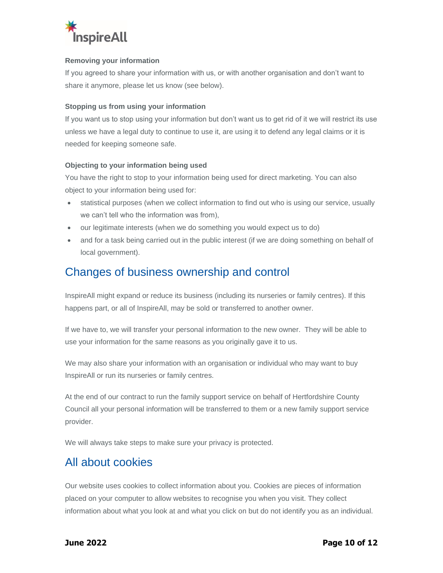

#### **Removing your information**

If you agreed to share your information with us, or with another organisation and don't want to share it anymore, please let us know (see below).

#### **Stopping us from using your information**

If you want us to stop using your information but don't want us to get rid of it we will restrict its use unless we have a legal duty to continue to use it, are using it to defend any legal claims or it is needed for keeping someone safe.

#### **Objecting to your information being used**

You have the right to stop to your information being used for direct marketing. You can also object to your information being used for:

- statistical purposes (when we collect information to find out who is using our service, usually we can't tell who the information was from),
- our legitimate interests (when we do something you would expect us to do)
- and for a task being carried out in the public interest (if we are doing something on behalf of local government).

### Changes of business ownership and control

InspireAll might expand or reduce its business (including its nurseries or family centres). If this happens part, or all of InspireAll, may be sold or transferred to another owner.

If we have to, we will transfer your personal information to the new owner. They will be able to use your information for the same reasons as you originally gave it to us.

We may also share your information with an organisation or individual who may want to buy InspireAll or run its nurseries or family centres.

At the end of our contract to run the family support service on behalf of Hertfordshire County Council all your personal information will be transferred to them or a new family support service provider.

We will always take steps to make sure your privacy is protected.

### All about cookies

Our website uses cookies to collect information about you. Cookies are pieces of information placed on your computer to allow websites to recognise you when you visit. They collect information about what you look at and what you click on but do not identify you as an individual.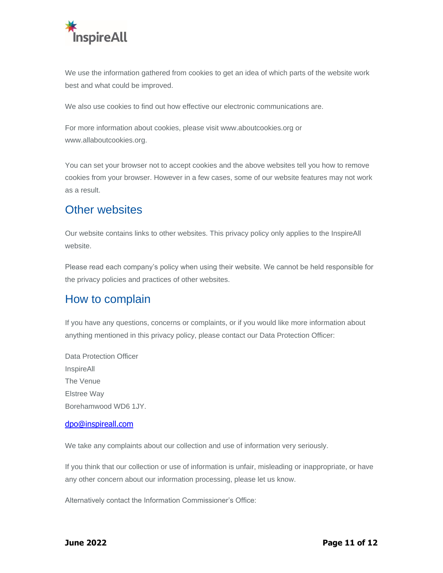

We use the information gathered from cookies to get an idea of which parts of the website work best and what could be improved.

We also use cookies to find out how effective our electronic communications are.

For more information about cookies, please visit [www.aboutcookies.org](http://www.aboutcookies.org/) or [www.allaboutcookies.org.](http://www.allaboutcookies.org/)

You can set your browser not to accept cookies and the above websites tell you how to remove cookies from your browser. However in a few cases, some of our website features may not work as a result.

### Other websites

Our website contains links to other websites. This privacy policy only applies to the InspireAll website.

Please read each company's policy when using their website. We cannot be held responsible for the privacy policies and practices of other websites.

### How to complain

If you have any questions, concerns or complaints, or if you would like more information about anything mentioned in this privacy policy, please contact our Data Protection Officer:

Data Protection Officer InspireAll The Venue Elstree Way Borehamwood WD6 1JY.

#### [dpo@inspireall.com](mailto:dpo@inspireall.com)

We take any complaints about our collection and use of information very seriously.

If you think that our collection or use of information is unfair, misleading or inappropriate, or have any other concern about our information processing, please let us know.

Alternatively contact the Information Commissioner's Office: